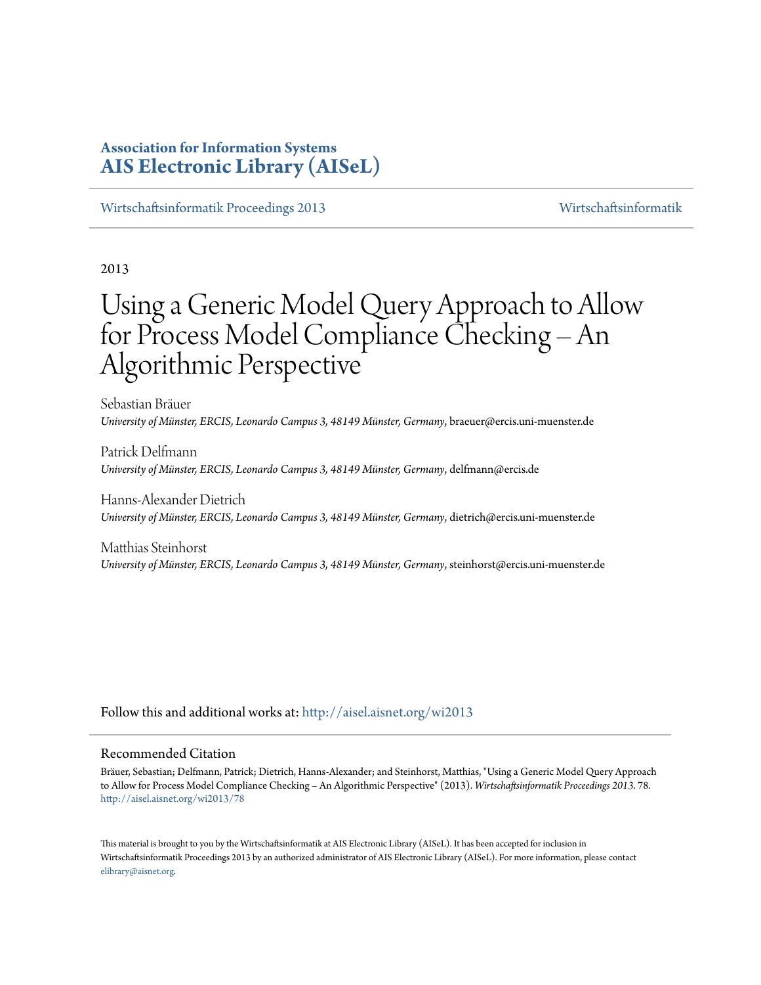# **Association for Information Systems [AIS Electronic Library \(AISeL\)](http://aisel.aisnet.org?utm_source=aisel.aisnet.org%2Fwi2013%2F78&utm_medium=PDF&utm_campaign=PDFCoverPages)**

[Wirtschaftsinformatik Proceedings 2013](http://aisel.aisnet.org/wi2013?utm_source=aisel.aisnet.org%2Fwi2013%2F78&utm_medium=PDF&utm_campaign=PDFCoverPages) [Wirtschaftsinformatik](http://aisel.aisnet.org/wi?utm_source=aisel.aisnet.org%2Fwi2013%2F78&utm_medium=PDF&utm_campaign=PDFCoverPages)

2013

# Using a Generic Model Query Approach to Allow for Process Model Compliance Checking – An Algorithmic Perspective

Sebastian Bräuer *University of Münster, ERCIS, Leonardo Campus 3, 48149 Münster, Germany*, braeuer@ercis.uni-muenster.de

Patrick Delfmann *University of Münster, ERCIS, Leonardo Campus 3, 48149 Münster, Germany*, delfmann@ercis.de

Hanns-Alexander Dietrich *University of Münster, ERCIS, Leonardo Campus 3, 48149 Münster, Germany*, dietrich@ercis.uni-muenster.de

Matthias Steinhorst *University of Münster, ERCIS, Leonardo Campus 3, 48149 Münster, Germany*, steinhorst@ercis.uni-muenster.de

Follow this and additional works at: [http://aisel.aisnet.org/wi2013](http://aisel.aisnet.org/wi2013?utm_source=aisel.aisnet.org%2Fwi2013%2F78&utm_medium=PDF&utm_campaign=PDFCoverPages)

## Recommended Citation

Bräuer, Sebastian; Delfmann, Patrick; Dietrich, Hanns-Alexander; and Steinhorst, Matthias, "Using a Generic Model Query Approach to Allow for Process Model Compliance Checking – An Algorithmic Perspective" (2013). *Wirtschaftsinformatik Proceedings 2013*. 78. [http://aisel.aisnet.org/wi2013/78](http://aisel.aisnet.org/wi2013/78?utm_source=aisel.aisnet.org%2Fwi2013%2F78&utm_medium=PDF&utm_campaign=PDFCoverPages)

This material is brought to you by the Wirtschaftsinformatik at AIS Electronic Library (AISeL). It has been accepted for inclusion in Wirtschaftsinformatik Proceedings 2013 by an authorized administrator of AIS Electronic Library (AISeL). For more information, please contact [elibrary@aisnet.org.](mailto:elibrary@aisnet.org%3E)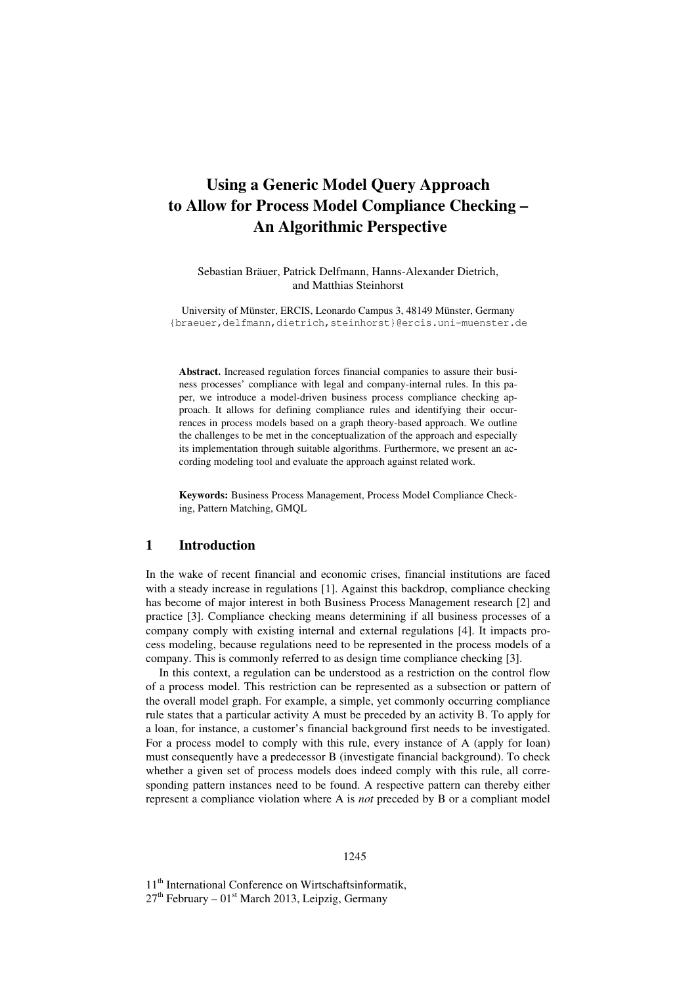# **Using a Generic Model Query Approach to Allow for Process Model Compliance Checking – An Algorithmic Perspective**

Sebastian Bräuer, Patrick Delfmann, Hanns-Alexander Dietrich, and Matthias Steinhorst

University of Münster, ERCIS, Leonardo Campus 3, 48149 Münster, Germany {braeuer,delfmann,dietrich,steinhorst}@ercis.uni-muenster.de

**Abstract.** Increased regulation forces financial companies to assure their business processes' compliance with legal and company-internal rules. In this paper, we introduce a model-driven business process compliance checking approach. It allows for defining compliance rules and identifying their occurrences in process models based on a graph theory-based approach. We outline the challenges to be met in the conceptualization of the approach and especially its implementation through suitable algorithms. Furthermore, we present an according modeling tool and evaluate the approach against related work.

**Keywords:** Business Process Management, Process Model Compliance Checking, Pattern Matching, GMQL

# **1 Introduction**

In the wake of recent financial and economic crises, financial institutions are faced with a steady increase in regulations [1]. Against this backdrop, compliance checking has become of major interest in both Business Process Management research [2] and practice [3]. Compliance checking means determining if all business processes of a company comply with existing internal and external regulations [4]. It impacts process modeling, because regulations need to be represented in the process models of a company. This is commonly referred to as design time compliance checking [3].

In this context, a regulation can be understood as a restriction on the control flow of a process model. This restriction can be represented as a subsection or pattern of the overall model graph. For example, a simple, yet commonly occurring compliance rule states that a particular activity A must be preceded by an activity B. To apply for a loan, for instance, a customer's financial background first needs to be investigated. For a process model to comply with this rule, every instance of A (apply for loan) must consequently have a predecessor B (investigate financial background). To check whether a given set of process models does indeed comply with this rule, all corresponding pattern instances need to be found. A respective pattern can thereby either represent a compliance violation where A is *not* preceded by B or a compliant model

11<sup>th</sup> International Conference on Wirtschaftsinformatik,  $27<sup>th</sup>$  February –  $01<sup>st</sup>$  March 2013, Leipzig, Germany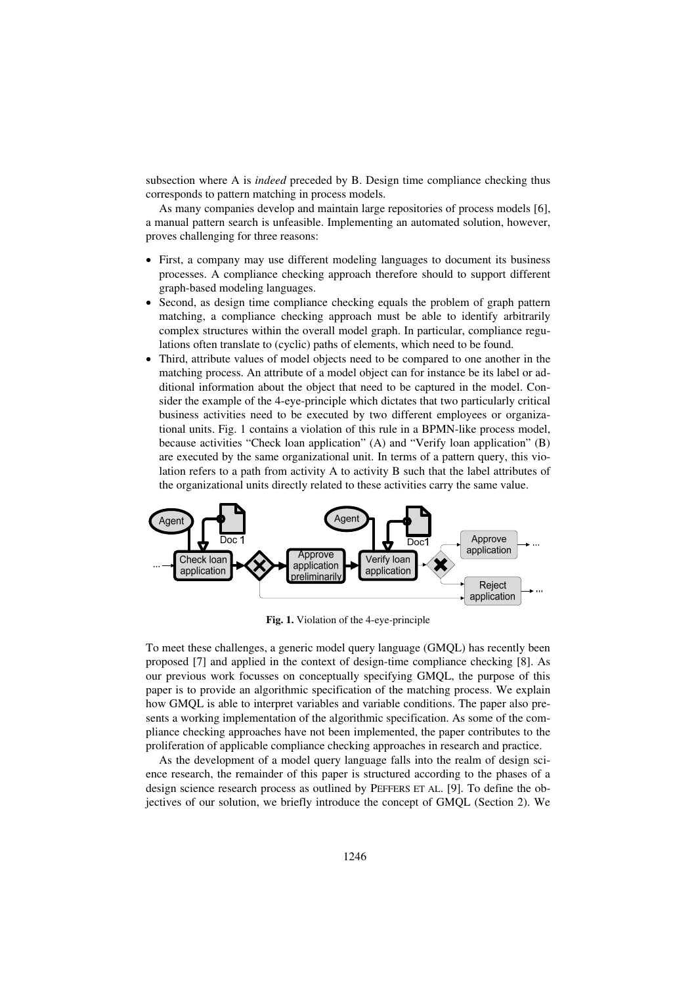subsection where A is *indeed* preceded by B. Design time compliance checking thus corresponds to pattern matching in process models.

As many companies develop and maintain large repositories of process models [6], a manual pattern search is unfeasible. Implementing an automated solution, however, proves challenging for three reasons:

- First, a company may use different modeling languages to document its business processes. A compliance checking approach therefore should to support different graph-based modeling languages.
- Second, as design time compliance checking equals the problem of graph pattern matching, a compliance checking approach must be able to identify arbitrarily complex structures within the overall model graph. In particular, compliance regulations often translate to (cyclic) paths of elements, which need to be found.
- Third, attribute values of model objects need to be compared to one another in the matching process. An attribute of a model object can for instance be its label or additional information about the object that need to be captured in the model. Consider the example of the 4-eye-principle which dictates that two particularly critical business activities need to be executed by two different employees or organizational units. Fig. 1 contains a violation of this rule in a BPMN-like process model, because activities "Check loan application" (A) and "Verify loan application" (B) are executed by the same organizational unit. In terms of a pattern query, this violation refers to a path from activity A to activity B such that the label attributes of the organizational units directly related to these activities carry the same value.



**Fig. 1.** Violation of the 4-eye-principle

To meet these challenges, a generic model query language (GMQL) has recently been proposed [7] and applied in the context of design-time compliance checking [8]. As our previous work focusses on conceptually specifying GMQL, the purpose of this paper is to provide an algorithmic specification of the matching process. We explain how GMQL is able to interpret variables and variable conditions. The paper also presents a working implementation of the algorithmic specification. As some of the compliance checking approaches have not been implemented, the paper contributes to the proliferation of applicable compliance checking approaches in research and practice.

As the development of a model query language falls into the realm of design science research, the remainder of this paper is structured according to the phases of a design science research process as outlined by PEFFERS ET AL. [9]. To define the objectives of our solution, we briefly introduce the concept of GMQL (Section 2). We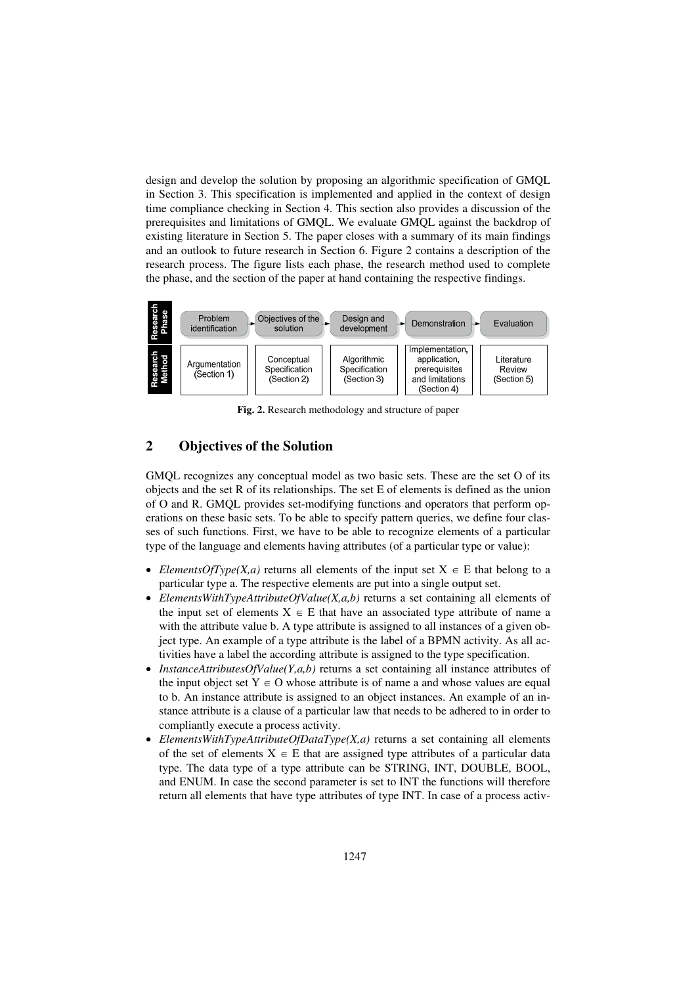design and develop the solution by proposing an algorithmic specification of GMQL in Section 3. This specification is implemented and applied in the context of design time compliance checking in Section 4. This section also provides a discussion of the prerequisites and limitations of GMQL. We evaluate GMQL against the backdrop of existing literature in Section 5. The paper closes with a summary of its main findings and an outlook to future research in Section 6. Figure 2 contains a description of the research process. The figure lists each phase, the research method used to complete the phase, and the section of the paper at hand containing the respective findings.



**Fig. 2.** Research methodology and structure of paper

# **2 Objectives of the Solution**

GMQL recognizes any conceptual model as two basic sets. These are the set O of its objects and the set R of its relationships. The set E of elements is defined as the union of O and R. GMQL provides set-modifying functions and operators that perform operations on these basic sets. To be able to specify pattern queries, we define four classes of such functions. First, we have to be able to recognize elements of a particular type of the language and elements having attributes (of a particular type or value):

- *ElementsOfType(X,a)* returns all elements of the input set  $X \in E$  that belong to a particular type a. The respective elements are put into a single output set.
- *ElementsWithTypeAttributeOfValue(X,a,b)* returns a set containing all elements of the input set of elements  $X \in E$  that have an associated type attribute of name a with the attribute value b. A type attribute is assigned to all instances of a given object type. An example of a type attribute is the label of a BPMN activity. As all activities have a label the according attribute is assigned to the type specification.
- *InstanceAttributesOfValue(Y,a,b)* returns a set containing all instance attributes of the input object set  $Y \in O$  whose attribute is of name a and whose values are equal to b. An instance attribute is assigned to an object instances. An example of an instance attribute is a clause of a particular law that needs to be adhered to in order to compliantly execute a process activity.
- *ElementsWithTypeAttributeOfDataType(X,a)* returns a set containing all elements of the set of elements  $X \in E$  that are assigned type attributes of a particular data type. The data type of a type attribute can be STRING, INT, DOUBLE, BOOL, and ENUM. In case the second parameter is set to INT the functions will therefore return all elements that have type attributes of type INT. In case of a process activ-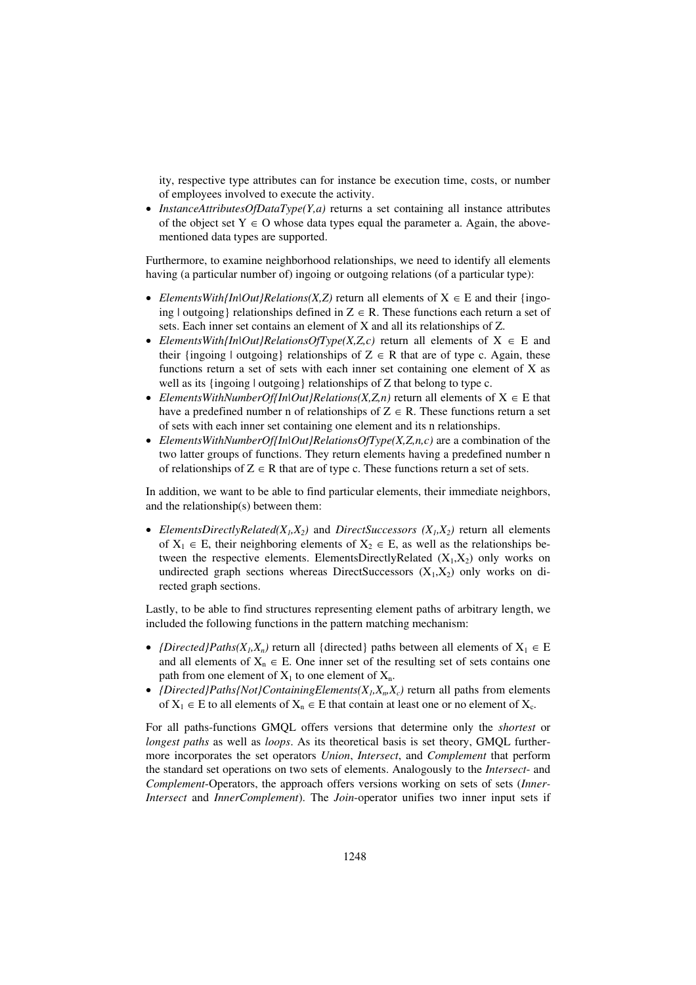ity, respective type attributes can for instance be execution time, costs, or number of employees involved to execute the activity.

 *InstanceAttributesOfDataType(Y,a)* returns a set containing all instance attributes of the object set  $Y \in O$  whose data types equal the parameter a. Again, the abovementioned data types are supported.

Furthermore, to examine neighborhood relationships, we need to identify all elements having (a particular number of) ingoing or outgoing relations (of a particular type):

- *ElementsWith{In|Out}Relations(X,Z)* return all elements of  $X \in E$  and their {ingoing | outgoing | relationships defined in  $Z \in R$ . These functions each return a set of sets. Each inner set contains an element of X and all its relationships of Z.
- *ElementsWith{In|Out}RelationsOfType(X,Z,c)* return all elements of  $X \in E$  and their {ingoing | outgoing} relationships of  $Z \in R$  that are of type c. Again, these functions return a set of sets with each inner set containing one element of X as well as its {ingoing | outgoing } relationships of Z that belong to type c.
- *ElementsWithNumberOf{In|Out}Relations(X,Z,n)* return all elements of  $X \in E$  that have a predefined number n of relationships of  $Z \in R$ . These functions return a set of sets with each inner set containing one element and its n relationships.
- *ElementsWithNumberOf{In|Out}RelationsOfType(X,Z,n,c)* are a combination of the two latter groups of functions. They return elements having a predefined number n of relationships of  $Z \in R$  that are of type c. These functions return a set of sets.

In addition, we want to be able to find particular elements, their immediate neighbors, and the relationship(s) between them:

• *ElementsDirectlyRelated(X<sub>1</sub>,X<sub>2</sub>)* and *DirectSuccessors (X<sub>1</sub>,X<sub>2</sub>) return all elements* of  $X_1 \in E$ , their neighboring elements of  $X_2 \in E$ , as well as the relationships between the respective elements. ElementsDirectlyRelated  $(X_1, X_2)$  only works on undirected graph sections whereas DirectSuccessors  $(X_1, X_2)$  only works on directed graph sections.

Lastly, to be able to find structures representing element paths of arbitrary length, we included the following functions in the pattern matching mechanism:

- *{Directed}Paths(X<sub>1</sub>,X<sub>n</sub>)* return all {directed} paths between all elements of  $X_1 \in E$ and all elements of  $X_n \in E$ . One inner set of the resulting set of sets contains one path from one element of  $X_1$  to one element of  $X_n$ .
- *{Directed}Paths{Not}ContainingElements(* $X_1, X_n, X_c$ *)* return all paths from elements of  $X_1 \in E$  to all elements of  $X_n \in E$  that contain at least one or no element of  $X_c$ .

For all paths-functions GMQL offers versions that determine only the *shortest* or *longest paths* as well as *loops*. As its theoretical basis is set theory, GMQL furthermore incorporates the set operators *Union*, *Intersect*, and *Complement* that perform the standard set operations on two sets of elements. Analogously to the *Intersect*- and *Complement*-Operators, the approach offers versions working on sets of sets (*Inner-Intersect* and *InnerComplement*). The *Join*-operator unifies two inner input sets if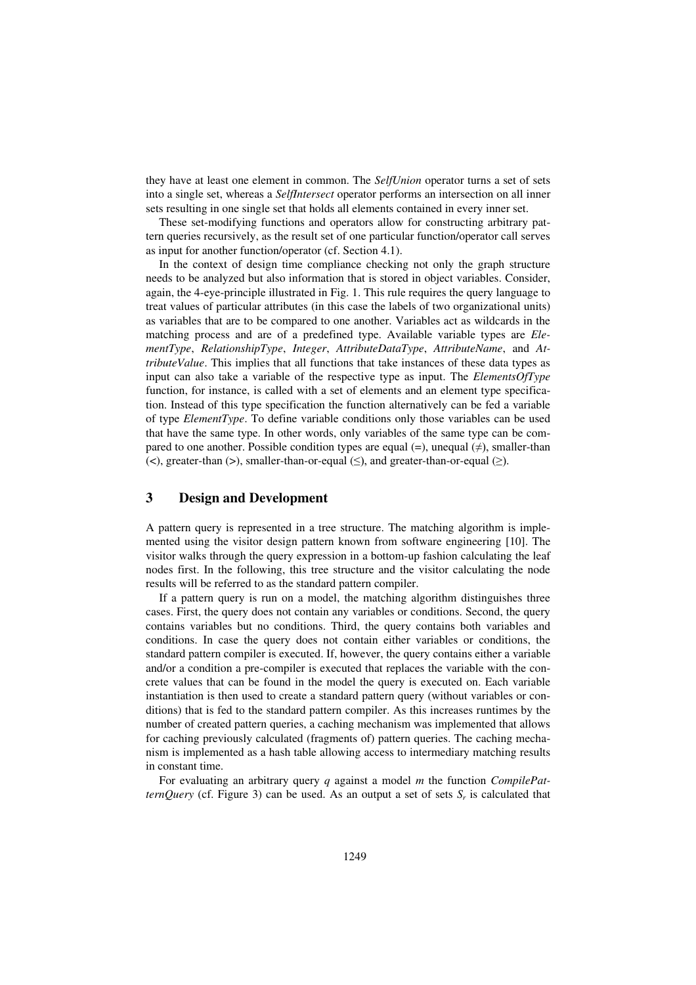they have at least one element in common. The *SelfUnion* operator turns a set of sets into a single set, whereas a *SelfIntersect* operator performs an intersection on all inner sets resulting in one single set that holds all elements contained in every inner set.

These set-modifying functions and operators allow for constructing arbitrary pattern queries recursively, as the result set of one particular function/operator call serves as input for another function/operator (cf. Section 4.1).

In the context of design time compliance checking not only the graph structure needs to be analyzed but also information that is stored in object variables. Consider, again, the 4-eye-principle illustrated in Fig. 1. This rule requires the query language to treat values of particular attributes (in this case the labels of two organizational units) as variables that are to be compared to one another. Variables act as wildcards in the matching process and are of a predefined type. Available variable types are *ElementType*, *RelationshipType*, *Integer*, *AttributeDataType*, *AttributeName*, and *AttributeValue*. This implies that all functions that take instances of these data types as input can also take a variable of the respective type as input. The *ElementsOfType* function, for instance, is called with a set of elements and an element type specification. Instead of this type specification the function alternatively can be fed a variable of type *ElementType*. To define variable conditions only those variables can be used that have the same type. In other words, only variables of the same type can be compared to one another. Possible condition types are equal  $(=)$ , unequal  $(≠)$ , smaller-than (<), greater-than (>), smaller-than-or-equal  $(\le)$ , and greater-than-or-equal  $(\ge)$ .

# **3 Design and Development**

A pattern query is represented in a tree structure. The matching algorithm is implemented using the visitor design pattern known from software engineering [10]. The visitor walks through the query expression in a bottom-up fashion calculating the leaf nodes first. In the following, this tree structure and the visitor calculating the node results will be referred to as the standard pattern compiler.

If a pattern query is run on a model, the matching algorithm distinguishes three cases. First, the query does not contain any variables or conditions. Second, the query contains variables but no conditions. Third, the query contains both variables and conditions. In case the query does not contain either variables or conditions, the standard pattern compiler is executed. If, however, the query contains either a variable and/or a condition a pre-compiler is executed that replaces the variable with the concrete values that can be found in the model the query is executed on. Each variable instantiation is then used to create a standard pattern query (without variables or conditions) that is fed to the standard pattern compiler. As this increases runtimes by the number of created pattern queries, a caching mechanism was implemented that allows for caching previously calculated (fragments of) pattern queries. The caching mechanism is implemented as a hash table allowing access to intermediary matching results in constant time.

For evaluating an arbitrary query *q* against a model *m* the function *CompilePatternQuery* (cf. Figure 3) can be used. As an output a set of sets *S<sup>r</sup>* is calculated that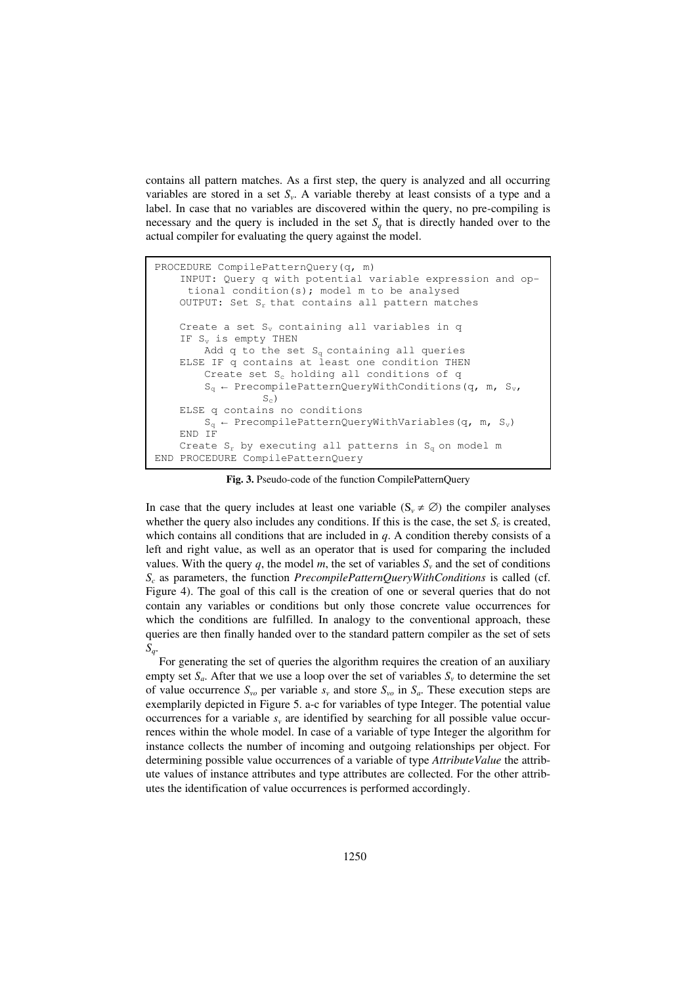contains all pattern matches. As a first step, the query is analyzed and all occurring variables are stored in a set *S<sup>v</sup>* . A variable thereby at least consists of a type and a label. In case that no variables are discovered within the query, no pre-compiling is necessary and the query is included in the set  $S_q$  that is directly handed over to the actual compiler for evaluating the query against the model.

```
PROCEDURE CompilePatternQuery(q, m)
    INPUT: Query q with potential variable expression and op-
     tional condition(s); model m to be analysed 
    OUTPUT: Set S_r that contains all pattern matches
    Create a set S_v containing all variables in q
    IF S_v is empty THEN
        Add q to the set S_{q} containing all queries
    ELSE IF q contains at least one condition THEN 
        Create set S_c holding all conditions of q
        S_q \leftarrow PrecompilePatternQueryWithConditions(q, m, S_v,
                  S_c)
    ELSE q contains no conditions 
        S_q \leftarrow PrecompilePatternQueryWithVariables(q, m, S<sub>v</sub>)
    END IF 
    Create S_r by executing all patterns in S_q on model m
END PROCEDURE CompilePatternQuery
```
**Fig. 3.** Pseudo-code of the function CompilePatternQuery

In case that the query includes at least one variable ( $S_v \neq \emptyset$ ) the compiler analyses whether the query also includes any conditions. If this is the case, the set  $S_c$  is created, which contains all conditions that are included in *q*. A condition thereby consists of a left and right value, as well as an operator that is used for comparing the included values. With the query  $q$ , the model  $m$ , the set of variables  $S<sub>v</sub>$  and the set of conditions *Sc* as parameters, the function *PrecompilePatternQueryWithConditions* is called (cf. Figure 4). The goal of this call is the creation of one or several queries that do not contain any variables or conditions but only those concrete value occurrences for which the conditions are fulfilled. In analogy to the conventional approach, these queries are then finally handed over to the standard pattern compiler as the set of sets *Sq*.

For generating the set of queries the algorithm requires the creation of an auxiliary empty set  $S_a$ . After that we use a loop over the set of variables  $S_v$  to determine the set of value occurrence  $S_{\nu o}$  per variable  $s_{\nu}$  and store  $S_{\nu o}$  in  $S_a$ . These execution steps are exemplarily depicted in Figure 5. a-c for variables of type Integer. The potential value occurrences for a variable  $s<sub>v</sub>$  are identified by searching for all possible value occurrences within the whole model. In case of a variable of type Integer the algorithm for instance collects the number of incoming and outgoing relationships per object. For determining possible value occurrences of a variable of type *AttributeValue* the attribute values of instance attributes and type attributes are collected. For the other attributes the identification of value occurrences is performed accordingly.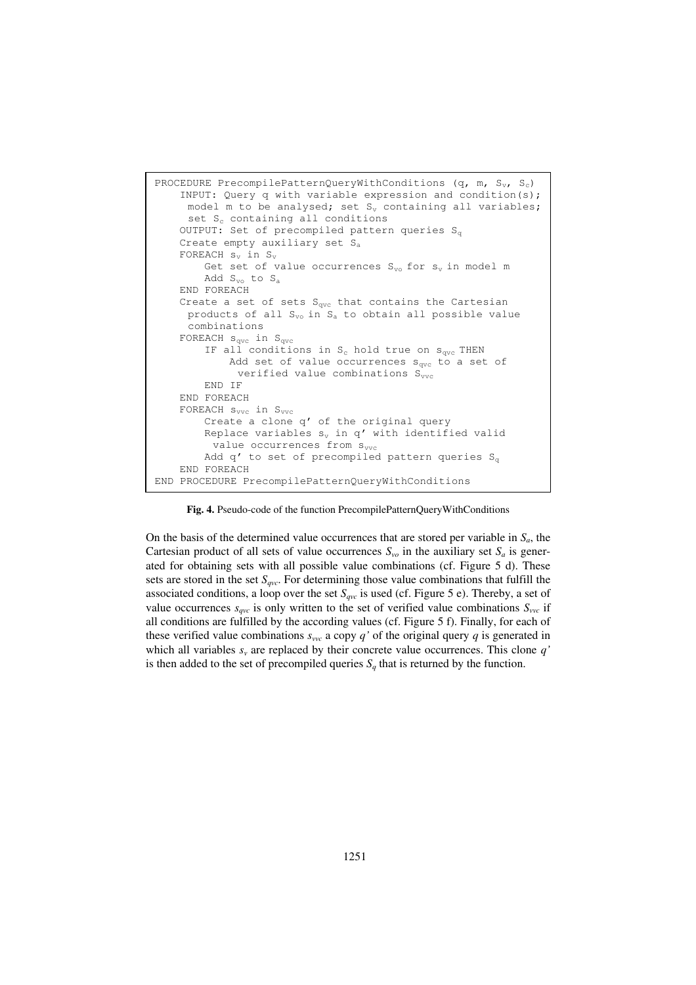

**Fig. 4.** Pseudo-code of the function PrecompilePatternQueryWithConditions

On the basis of the determined value occurrences that are stored per variable in  $S_a$ , the Cartesian product of all sets of value occurrences  $S_{\nu o}$  in the auxiliary set  $S_a$  is generated for obtaining sets with all possible value combinations (cf. Figure 5 d). These sets are stored in the set *Sqvc*. For determining those value combinations that fulfill the associated conditions, a loop over the set  $S_{qvc}$  is used (cf. Figure 5 e). Thereby, a set of value occurrences  $s_{qvc}$  is only written to the set of verified value combinations  $S_{vvc}$  if all conditions are fulfilled by the according values (cf. Figure 5 f). Finally, for each of these verified value combinations  $s_{\nu\nu c}$  a copy *q'* of the original query *q* is generated in which all variables  $s<sub>v</sub>$  are replaced by their concrete value occurrences. This clone  $q'$ is then added to the set of precompiled queries  $S_q$  that is returned by the function.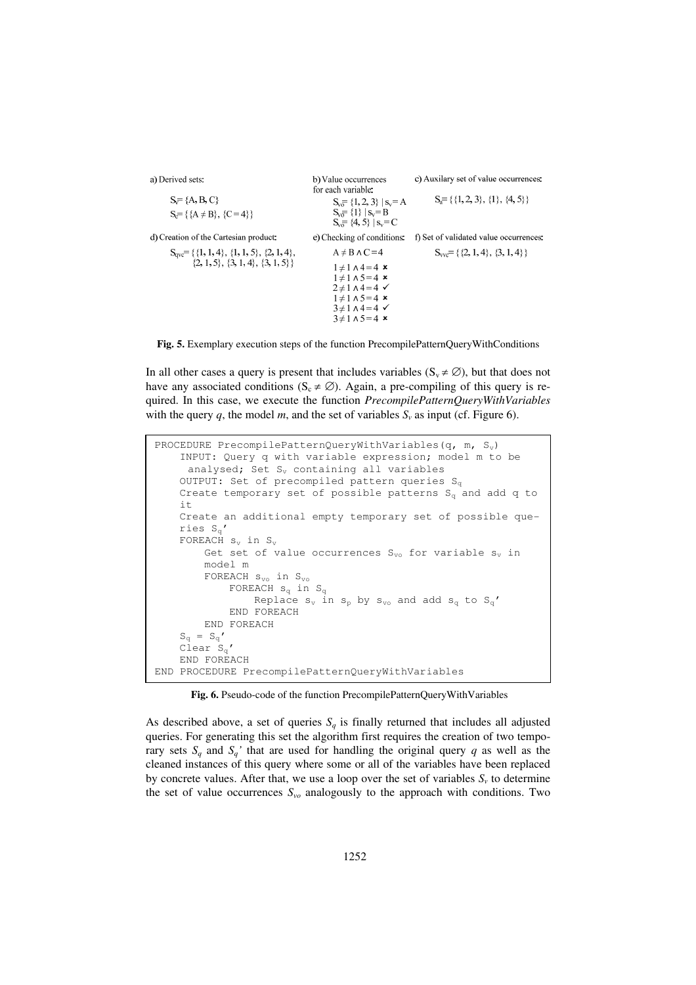a) Derived sets: c) Auxilary set of value occurrences: b) Value occurrences for each variable:  $S_{\overline{y}} = \{A, B, C\}$  $S_a = \{\{1, 2, 3\}, \{1\}, \{4, 5\}\}\$  $S_v = \{1, 2, 3\}$  |  $s_v = A$  $S_v = \{1\}$  |  $S_v = B$  $S_c = \{ \{A \neq B\}, \{C = 4\} \}$  $S_{v0} = \{4, 5\}$  |  $S_v = C$ d) Creation of the Cartesian product: e) Checking of conditions: f) Set of validated value occurrences:  $S_{ave} = \{ \{1, 1, 4\}, \{1, 1, 5\}, \{2, 1, 4\},\$  $A \neq B \land C = 4$  $S_{\text{vyc}} = \{ \{2, 1, 4\}, \{3, 1, 4\} \}$  $\{2, 1, 5\}, \{3, 1, 4\}, \{3, 1, 5\}\}$  $1 \neq 1 \land 4 = 4$  ×  $1 \neq 1 \land 5 = 4$  ×  $2 \neq 1 \land 4 = 4$  $1 \neq 1 \land 5 = 4$  ×  $3\neq 1 \wedge 4=4$   $\checkmark$  $3 \neq 1 \land 5 = 4$  ×



In all other cases a query is present that includes variables ( $S_v \neq \emptyset$ ), but that does not have any associated conditions ( $S_c \neq \emptyset$ ). Again, a pre-compiling of this query is required. In this case, we execute the function *PrecompilePatternQueryWithVariables* with the query  $q$ , the model  $m$ , and the set of variables  $S<sub>v</sub>$  as input (cf. Figure 6).

```
PROCEDURE PrecompilePatternQueryWithVariables(q, m, S_v)
    INPUT: Query q with variable expression; model m to be 
     analysed; Set S_v containing all variables
    OUTPUT: Set of precompiled pattern queries S_qCreate temporary set of possible patterns S_q and add q to
    it 
    Create an additional empty temporary set of possible que-
    ries S_{\alpha}'
    FOREACH s_v in S_vGet set of value occurrences S_{vo} for variable s_v in
        model m 
        FOREACH s_{vo} in S_{vo}FOREACH s_q in S_qReplace s_v in s_p by s_{vo} and add s_q to S_q'END FOREACH
        END FOREACH 
    S_q = S_q'\operatorname{Clear} S_{\alpha}'
    END FOREACH 
END PROCEDURE PrecompilePatternQueryWithVariables
```
 **Fig. 6.** Pseudo-code of the function PrecompilePatternQueryWithVariables

As described above, a set of queries  $S_q$  is finally returned that includes all adjusted queries. For generating this set the algorithm first requires the creation of two temporary sets  $S_a$  and  $S_a$ <sup>'</sup> that are used for handling the original query *q* as well as the cleaned instances of this query where some or all of the variables have been replaced by concrete values. After that, we use a loop over the set of variables  $S<sub>v</sub>$  to determine the set of value occurrences *Svo* analogously to the approach with conditions. Two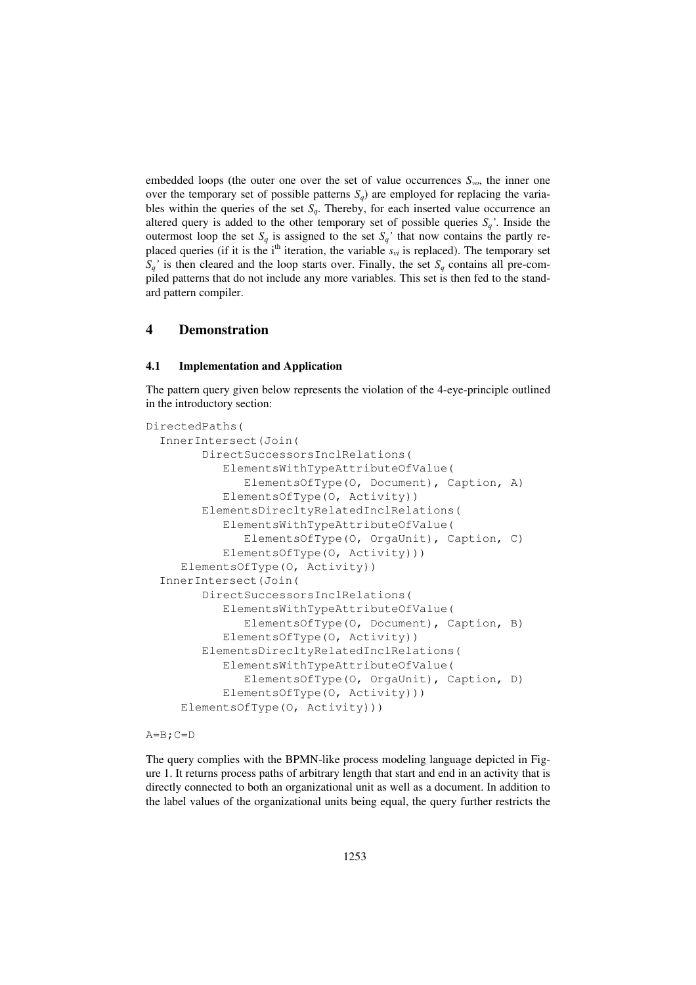embedded loops (the outer one over the set of value occurrences  $S_{vo}$ , the inner one over the temporary set of possible patterns  $S_q$ ) are employed for replacing the variables within the queries of the set  $S_q$ . Thereby, for each inserted value occurrence an altered query is added to the other temporary set of possible queries  $S_q$ <sup>'</sup>. Inside the outermost loop the set  $S_q$  is assigned to the set  $S_q$ <sup>'</sup> that now contains the partly replaced queries (if it is the i<sup>th</sup> iteration, the variable  $s_{vi}$  is replaced). The temporary set  $S_a$ <sup> $\prime$ </sup> is then cleared and the loop starts over. Finally, the set  $S_a$  contains all pre-compiled patterns that do not include any more variables. This set is then fed to the standard pattern compiler.

# **4 Demonstration**

## **4.1 Implementation and Application**

The pattern query given below represents the violation of the 4-eye-principle outlined in the introductory section:

```
DirectedPaths( 
   InnerIntersect(Join( 
         DirectSuccessorsInclRelations( 
            ElementsWithTypeAttributeOfValue( 
                ElementsOfType(O, Document), Caption, A) 
            ElementsOfType(O, Activity)) 
         ElementsDirecltyRelatedInclRelations( 
            ElementsWithTypeAttributeOfValue( 
                ElementsOfType(O, OrgaUnit), Caption, C) 
            ElementsOfType(O, Activity))) 
      ElementsOfType(O, Activity)) 
  InnerIntersect(Join( 
         DirectSuccessorsInclRelations( 
            ElementsWithTypeAttributeOfValue( 
                ElementsOfType(O, Document), Caption, B) 
            ElementsOfType(O, Activity)) 
         ElementsDirecltyRelatedInclRelations( 
            ElementsWithTypeAttributeOfValue( 
                ElementsOfType(O, OrgaUnit), Caption, D) 
            ElementsOfType(O, Activity))) 
      ElementsOfType(O, Activity)))
```
#### $A=B$ ;  $C=D$

The query complies with the BPMN-like process modeling language depicted in Figure 1. It returns process paths of arbitrary length that start and end in an activity that is directly connected to both an organizational unit as well as a document. In addition to the label values of the organizational units being equal, the query further restricts the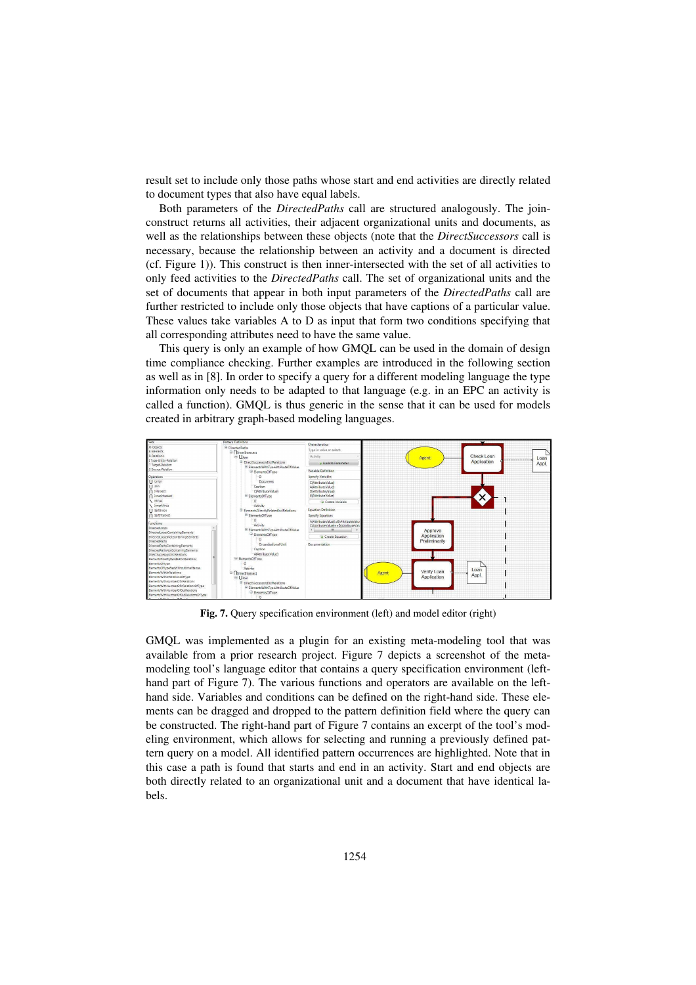result set to include only those paths whose start and end activities are directly related to document types that also have equal labels.

Both parameters of the *DirectedPaths* call are structured analogously. The joinconstruct returns all activities, their adjacent organizational units and documents, as well as the relationships between these objects (note that the *DirectSuccessors* call is necessary, because the relationship between an activity and a document is directed (cf. Figure 1)). This construct is then inner-intersected with the set of all activities to only feed activities to the *DirectedPaths* call. The set of organizational units and the set of documents that appear in both input parameters of the *DirectedPaths* call are further restricted to include only those objects that have captions of a particular value. These values take variables A to D as input that form two conditions specifying that all corresponding attributes need to have the same value.

This query is only an example of how GMQL can be used in the domain of design time compliance checking. Further examples are introduced in the following section as well as in [8]. In order to specify a query for a different modeling language the type information only needs to be adapted to that language (e.g. in an EPC an activity is called a function). GMQL is thus generic in the sense that it can be used for models created in arbitrary graph-based modeling languages.



**Fig. 7.** Query specification environment (left) and model editor (right)

GMQL was implemented as a plugin for an existing meta-modeling tool that was available from a prior research project. Figure 7 depicts a screenshot of the metamodeling tool's language editor that contains a query specification environment (lefthand part of Figure 7). The various functions and operators are available on the lefthand side. Variables and conditions can be defined on the right-hand side. These elements can be dragged and dropped to the pattern definition field where the query can be constructed. The right-hand part of Figure 7 contains an excerpt of the tool's modeling environment, which allows for selecting and running a previously defined pattern query on a model. All identified pattern occurrences are highlighted. Note that in this case a path is found that starts and end in an activity. Start and end objects are both directly related to an organizational unit and a document that have identical labels.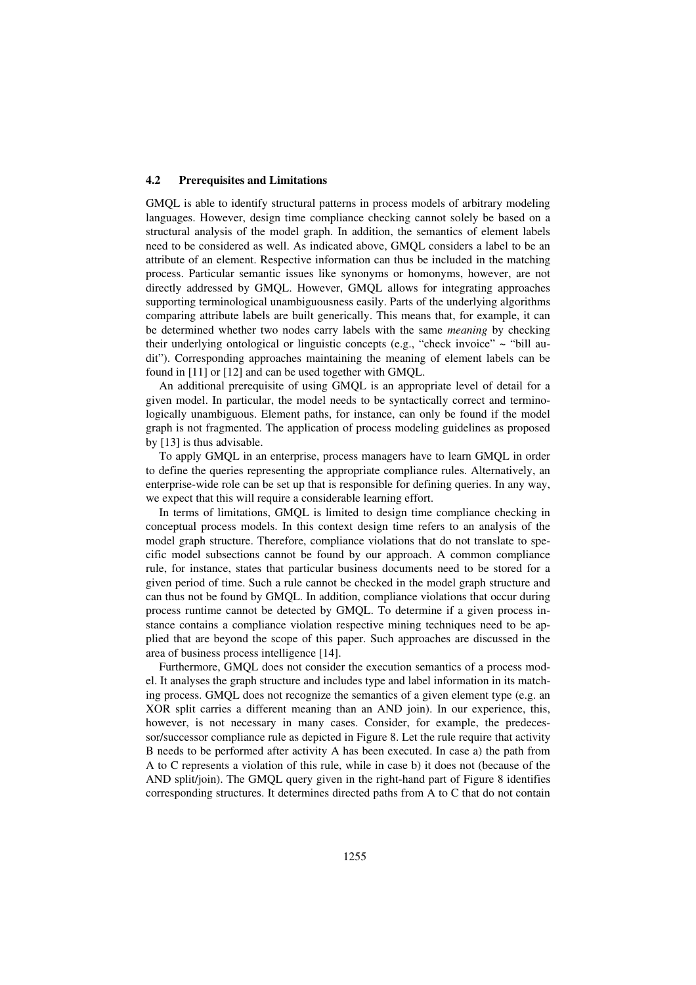#### **4.2 Prerequisites and Limitations**

GMQL is able to identify structural patterns in process models of arbitrary modeling languages. However, design time compliance checking cannot solely be based on a structural analysis of the model graph. In addition, the semantics of element labels need to be considered as well. As indicated above, GMQL considers a label to be an attribute of an element. Respective information can thus be included in the matching process. Particular semantic issues like synonyms or homonyms, however, are not directly addressed by GMQL. However, GMQL allows for integrating approaches supporting terminological unambiguousness easily. Parts of the underlying algorithms comparing attribute labels are built generically. This means that, for example, it can be determined whether two nodes carry labels with the same *meaning* by checking their underlying ontological or linguistic concepts (e.g., "check invoice"  $\sim$  "bill audit"). Corresponding approaches maintaining the meaning of element labels can be found in [11] or [12] and can be used together with GMQL.

An additional prerequisite of using GMQL is an appropriate level of detail for a given model. In particular, the model needs to be syntactically correct and terminologically unambiguous. Element paths, for instance, can only be found if the model graph is not fragmented. The application of process modeling guidelines as proposed by [13] is thus advisable.

To apply GMQL in an enterprise, process managers have to learn GMQL in order to define the queries representing the appropriate compliance rules. Alternatively, an enterprise-wide role can be set up that is responsible for defining queries. In any way, we expect that this will require a considerable learning effort.

In terms of limitations, GMQL is limited to design time compliance checking in conceptual process models. In this context design time refers to an analysis of the model graph structure. Therefore, compliance violations that do not translate to specific model subsections cannot be found by our approach. A common compliance rule, for instance, states that particular business documents need to be stored for a given period of time. Such a rule cannot be checked in the model graph structure and can thus not be found by GMQL. In addition, compliance violations that occur during process runtime cannot be detected by GMQL. To determine if a given process instance contains a compliance violation respective mining techniques need to be applied that are beyond the scope of this paper. Such approaches are discussed in the area of business process intelligence [14].

Furthermore, GMQL does not consider the execution semantics of a process model. It analyses the graph structure and includes type and label information in its matching process. GMQL does not recognize the semantics of a given element type (e.g. an XOR split carries a different meaning than an AND join). In our experience, this, however, is not necessary in many cases. Consider, for example, the predecessor/successor compliance rule as depicted in Figure 8. Let the rule require that activity B needs to be performed after activity A has been executed. In case a) the path from A to C represents a violation of this rule, while in case b) it does not (because of the AND split/join). The GMQL query given in the right-hand part of Figure 8 identifies corresponding structures. It determines directed paths from A to C that do not contain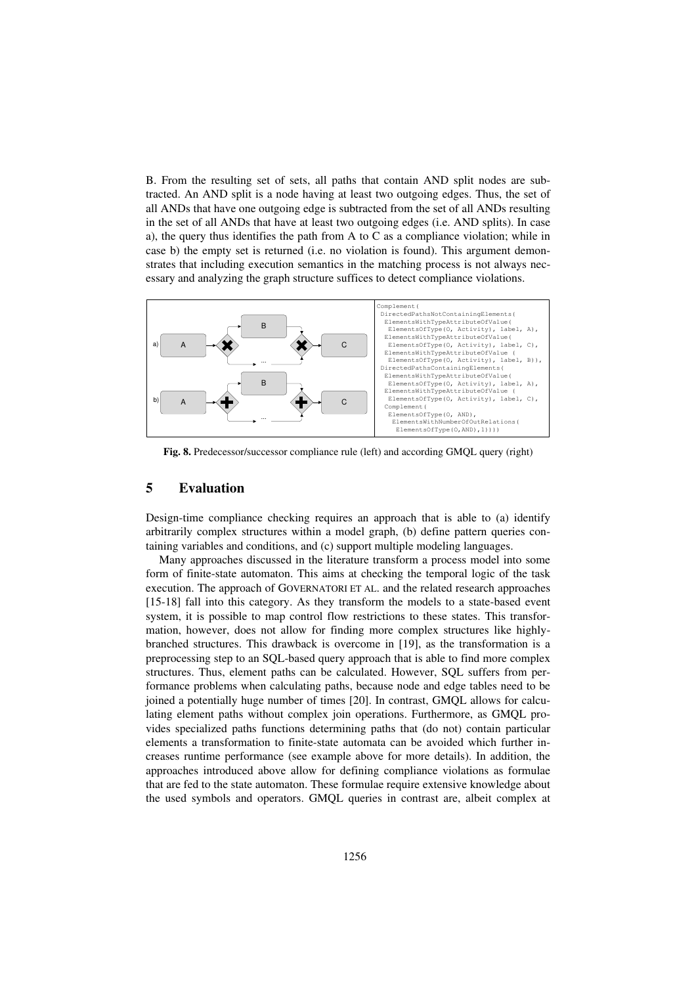B. From the resulting set of sets, all paths that contain AND split nodes are subtracted. An AND split is a node having at least two outgoing edges. Thus, the set of all ANDs that have one outgoing edge is subtracted from the set of all ANDs resulting in the set of all ANDs that have at least two outgoing edges (i.e. AND splits). In case a), the query thus identifies the path from A to C as a compliance violation; while in case b) the empty set is returned (i.e. no violation is found). This argument demonstrates that including execution semantics in the matching process is not always necessary and analyzing the graph structure suffices to detect compliance violations.



**Fig. 8.** Predecessor/successor compliance rule (left) and according GMQL query (right)

## **5 Evaluation**

Design-time compliance checking requires an approach that is able to (a) identify arbitrarily complex structures within a model graph, (b) define pattern queries containing variables and conditions, and (c) support multiple modeling languages.

Many approaches discussed in the literature transform a process model into some form of finite-state automaton. This aims at checking the temporal logic of the task execution. The approach of GOVERNATORI ET AL. and the related research approaches [15-18] fall into this category. As they transform the models to a state-based event system, it is possible to map control flow restrictions to these states. This transformation, however, does not allow for finding more complex structures like highlybranched structures. This drawback is overcome in [19], as the transformation is a preprocessing step to an SQL-based query approach that is able to find more complex structures. Thus, element paths can be calculated. However, SQL suffers from performance problems when calculating paths, because node and edge tables need to be joined a potentially huge number of times [20]. In contrast, GMQL allows for calculating element paths without complex join operations. Furthermore, as GMQL provides specialized paths functions determining paths that (do not) contain particular elements a transformation to finite-state automata can be avoided which further increases runtime performance (see example above for more details). In addition, the approaches introduced above allow for defining compliance violations as formulae that are fed to the state automaton. These formulae require extensive knowledge about the used symbols and operators. GMQL queries in contrast are, albeit complex at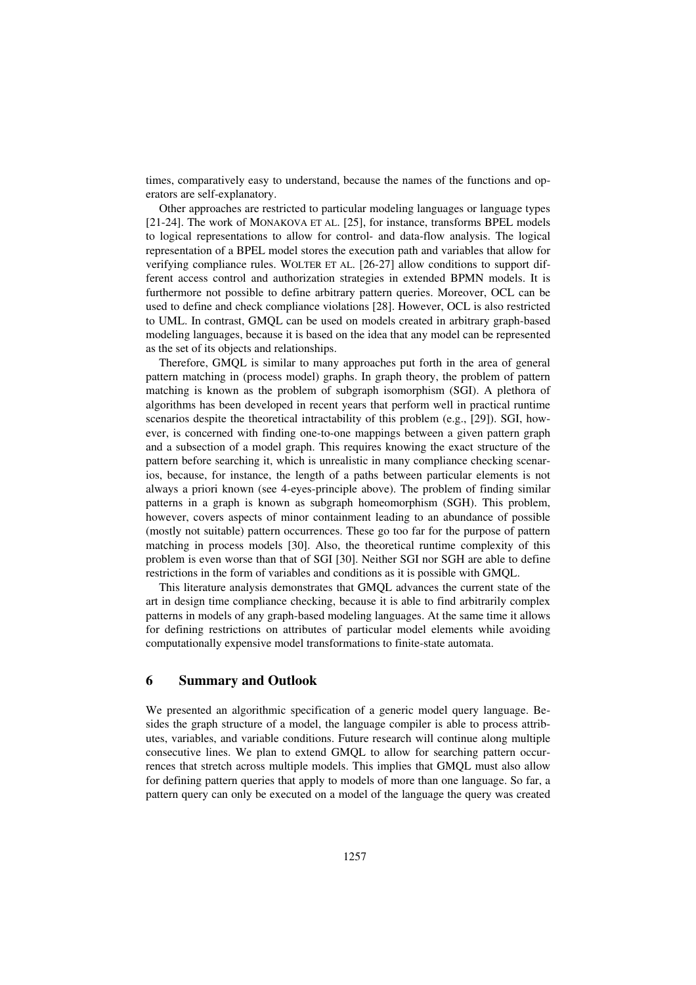times, comparatively easy to understand, because the names of the functions and operators are self-explanatory.

Other approaches are restricted to particular modeling languages or language types [21-24]. The work of MONAKOVA ET AL. [25], for instance, transforms BPEL models to logical representations to allow for control- and data-flow analysis. The logical representation of a BPEL model stores the execution path and variables that allow for verifying compliance rules. WOLTER ET AL. [26-27] allow conditions to support different access control and authorization strategies in extended BPMN models. It is furthermore not possible to define arbitrary pattern queries. Moreover, OCL can be used to define and check compliance violations [28]. However, OCL is also restricted to UML. In contrast, GMQL can be used on models created in arbitrary graph-based modeling languages, because it is based on the idea that any model can be represented as the set of its objects and relationships.

Therefore, GMQL is similar to many approaches put forth in the area of general pattern matching in (process model) graphs. In graph theory, the problem of pattern matching is known as the problem of subgraph isomorphism (SGI). A plethora of algorithms has been developed in recent years that perform well in practical runtime scenarios despite the theoretical intractability of this problem (e.g., [29]). SGI, however, is concerned with finding one-to-one mappings between a given pattern graph and a subsection of a model graph. This requires knowing the exact structure of the pattern before searching it, which is unrealistic in many compliance checking scenarios, because, for instance, the length of a paths between particular elements is not always a priori known (see 4-eyes-principle above). The problem of finding similar patterns in a graph is known as subgraph homeomorphism (SGH). This problem, however, covers aspects of minor containment leading to an abundance of possible (mostly not suitable) pattern occurrences. These go too far for the purpose of pattern matching in process models [30]. Also, the theoretical runtime complexity of this problem is even worse than that of SGI [30]. Neither SGI nor SGH are able to define restrictions in the form of variables and conditions as it is possible with GMQL.

This literature analysis demonstrates that GMQL advances the current state of the art in design time compliance checking, because it is able to find arbitrarily complex patterns in models of any graph-based modeling languages. At the same time it allows for defining restrictions on attributes of particular model elements while avoiding computationally expensive model transformations to finite-state automata.

## **6 Summary and Outlook**

We presented an algorithmic specification of a generic model query language. Besides the graph structure of a model, the language compiler is able to process attributes, variables, and variable conditions. Future research will continue along multiple consecutive lines. We plan to extend GMQL to allow for searching pattern occurrences that stretch across multiple models. This implies that GMQL must also allow for defining pattern queries that apply to models of more than one language. So far, a pattern query can only be executed on a model of the language the query was created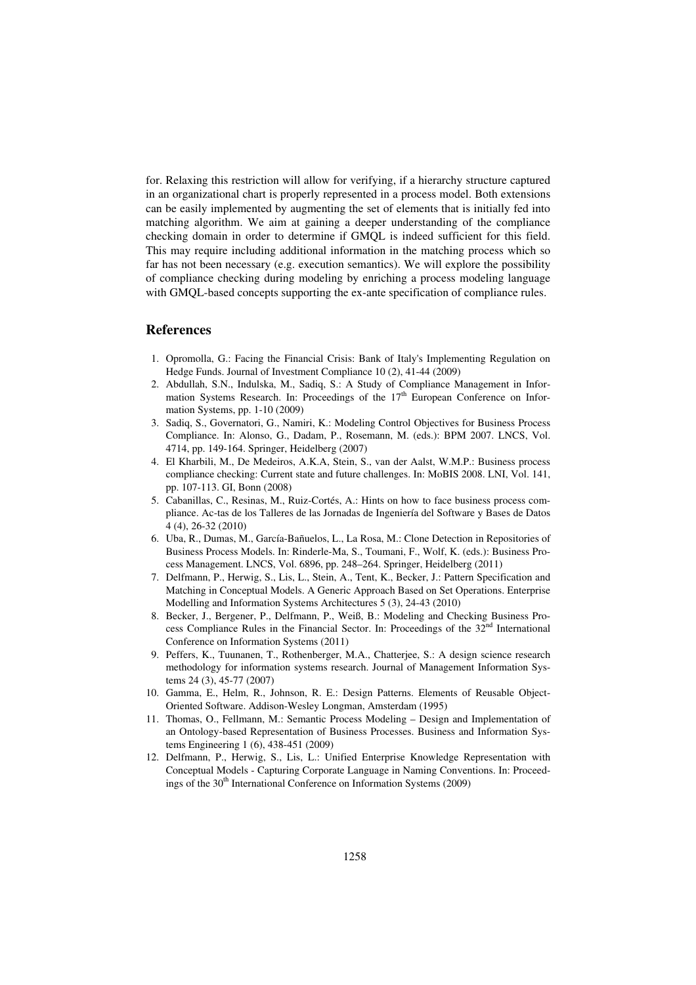for. Relaxing this restriction will allow for verifying, if a hierarchy structure captured in an organizational chart is properly represented in a process model. Both extensions can be easily implemented by augmenting the set of elements that is initially fed into matching algorithm. We aim at gaining a deeper understanding of the compliance checking domain in order to determine if GMQL is indeed sufficient for this field. This may require including additional information in the matching process which so far has not been necessary (e.g. execution semantics). We will explore the possibility of compliance checking during modeling by enriching a process modeling language with GMQL-based concepts supporting the ex-ante specification of compliance rules.

#### **References**

- 1. Opromolla, G.: Facing the Financial Crisis: Bank of Italy's Implementing Regulation on Hedge Funds. Journal of Investment Compliance 10 (2), 41-44 (2009)
- 2. Abdullah, S.N., Indulska, M., Sadiq, S.: A Study of Compliance Management in Information Systems Research. In: Proceedings of the  $17<sup>th</sup>$  European Conference on Information Systems, pp. 1-10 (2009)
- 3. Sadiq, S., Governatori, G., Namiri, K.: Modeling Control Objectives for Business Process Compliance. In: Alonso, G., Dadam, P., Rosemann, M. (eds.): BPM 2007. LNCS, Vol. 4714, pp. 149-164. Springer, Heidelberg (2007)
- 4. El Kharbili, M., De Medeiros, A.K.A, Stein, S., van der Aalst, W.M.P.: Business process compliance checking: Current state and future challenges. In: MoBIS 2008. LNI, Vol. 141, pp. 107-113. GI, Bonn (2008)
- 5. Cabanillas, C., Resinas, M., Ruiz-Cortés, A.: Hints on how to face business process compliance. Ac-tas de los Talleres de las Jornadas de Ingeniería del Software y Bases de Datos 4 (4), 26-32 (2010)
- 6. Uba, R., Dumas, M., García-Bañuelos, L., La Rosa, M.: Clone Detection in Repositories of Business Process Models. In: Rinderle-Ma, S., Toumani, F., Wolf, K. (eds.): Business Process Management. LNCS, Vol. 6896, pp. 248–264. Springer, Heidelberg (2011)
- 7. Delfmann, P., Herwig, S., Lis, L., Stein, A., Tent, K., Becker, J.: Pattern Specification and Matching in Conceptual Models. A Generic Approach Based on Set Operations. Enterprise Modelling and Information Systems Architectures 5 (3), 24-43 (2010)
- 8. Becker, J., Bergener, P., Delfmann, P., Weiß, B.: Modeling and Checking Business Process Compliance Rules in the Financial Sector. In: Proceedings of the 32<sup>nd</sup> International Conference on Information Systems (2011)
- 9. Peffers, K., Tuunanen, T., Rothenberger, M.A., Chatterjee, S.: A design science research methodology for information systems research. Journal of Management Information Systems 24 (3), 45-77 (2007)
- 10. Gamma, E., Helm, R., Johnson, R. E.: Design Patterns. Elements of Reusable Object-Oriented Software. Addison-Wesley Longman, Amsterdam (1995)
- 11. Thomas, O., Fellmann, M.: Semantic Process Modeling Design and Implementation of an Ontology-based Representation of Business Processes. Business and Information Systems Engineering 1 (6), 438-451 (2009)
- 12. Delfmann, P., Herwig, S., Lis, L.: Unified Enterprise Knowledge Representation with Conceptual Models - Capturing Corporate Language in Naming Conventions. In: Proceedings of the  $30<sup>th</sup>$  International Conference on Information Systems (2009)